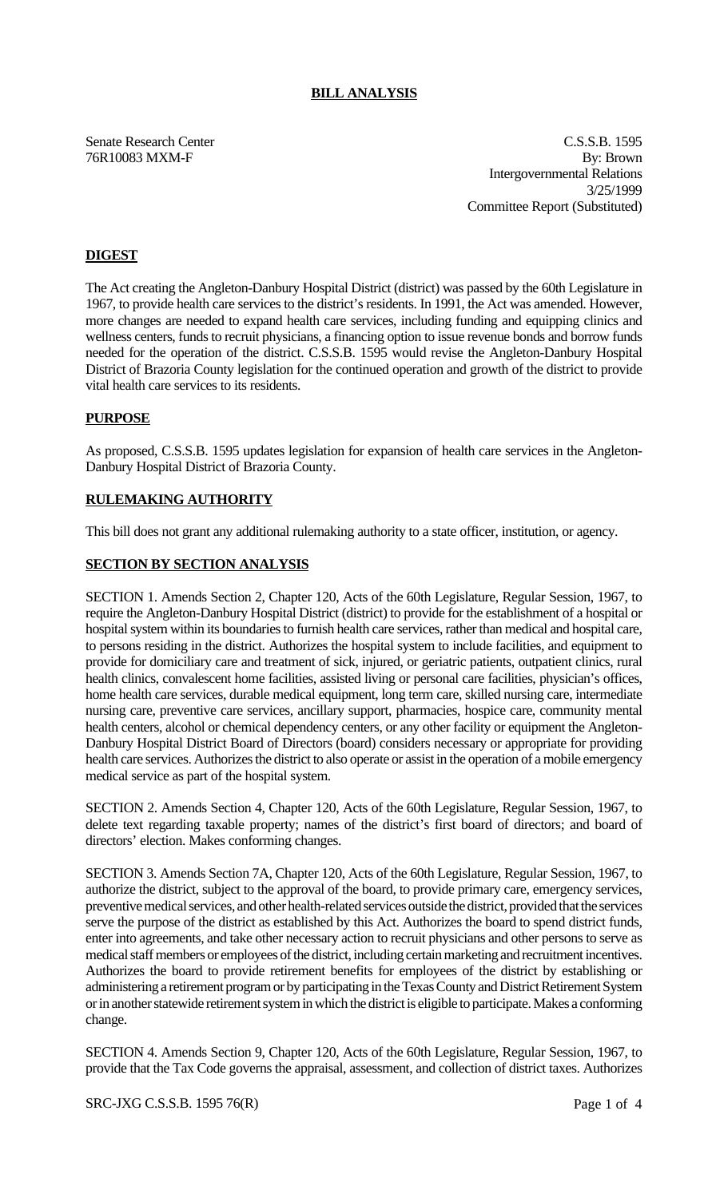## **BILL ANALYSIS**

Senate Research Center Cassach Center C.S.S.B. 1595 76R10083 MXM-F By: Brown Intergovernmental Relations 3/25/1999 Committee Report (Substituted)

# **DIGEST**

The Act creating the Angleton-Danbury Hospital District (district) was passed by the 60th Legislature in 1967, to provide health care services to the district's residents. In 1991, the Act was amended. However, more changes are needed to expand health care services, including funding and equipping clinics and wellness centers, funds to recruit physicians, a financing option to issue revenue bonds and borrow funds needed for the operation of the district. C.S.S.B. 1595 would revise the Angleton-Danbury Hospital District of Brazoria County legislation for the continued operation and growth of the district to provide vital health care services to its residents.

### **PURPOSE**

As proposed, C.S.S.B. 1595 updates legislation for expansion of health care services in the Angleton-Danbury Hospital District of Brazoria County.

# **RULEMAKING AUTHORITY**

This bill does not grant any additional rulemaking authority to a state officer, institution, or agency.

## **SECTION BY SECTION ANALYSIS**

SECTION 1. Amends Section 2, Chapter 120, Acts of the 60th Legislature, Regular Session, 1967, to require the Angleton-Danbury Hospital District (district) to provide for the establishment of a hospital or hospital system within its boundaries to furnish health care services, rather than medical and hospital care, to persons residing in the district. Authorizes the hospital system to include facilities, and equipment to provide for domiciliary care and treatment of sick, injured, or geriatric patients, outpatient clinics, rural health clinics, convalescent home facilities, assisted living or personal care facilities, physician's offices, home health care services, durable medical equipment, long term care, skilled nursing care, intermediate nursing care, preventive care services, ancillary support, pharmacies, hospice care, community mental health centers, alcohol or chemical dependency centers, or any other facility or equipment the Angleton-Danbury Hospital District Board of Directors (board) considers necessary or appropriate for providing health care services. Authorizes the district to also operate or assist in the operation of a mobile emergency medical service as part of the hospital system.

SECTION 2. Amends Section 4, Chapter 120, Acts of the 60th Legislature, Regular Session, 1967, to delete text regarding taxable property; names of the district's first board of directors; and board of directors' election. Makes conforming changes.

SECTION 3. Amends Section 7A, Chapter 120, Acts of the 60th Legislature, Regular Session, 1967, to authorize the district, subject to the approval of the board, to provide primary care, emergency services, preventive medical services, and other health-related services outside the district, provided that the services serve the purpose of the district as established by this Act. Authorizes the board to spend district funds, enter into agreements, and take other necessary action to recruit physicians and other persons to serve as medical staff members or employees of the district, including certain marketing and recruitment incentives. Authorizes the board to provide retirement benefits for employees of the district by establishing or administering a retirement program or by participating in the Texas County and District Retirement System or in another statewide retirement system in which the district is eligible to participate. Makes a conforming change.

SECTION 4. Amends Section 9, Chapter 120, Acts of the 60th Legislature, Regular Session, 1967, to provide that the Tax Code governs the appraisal, assessment, and collection of district taxes. Authorizes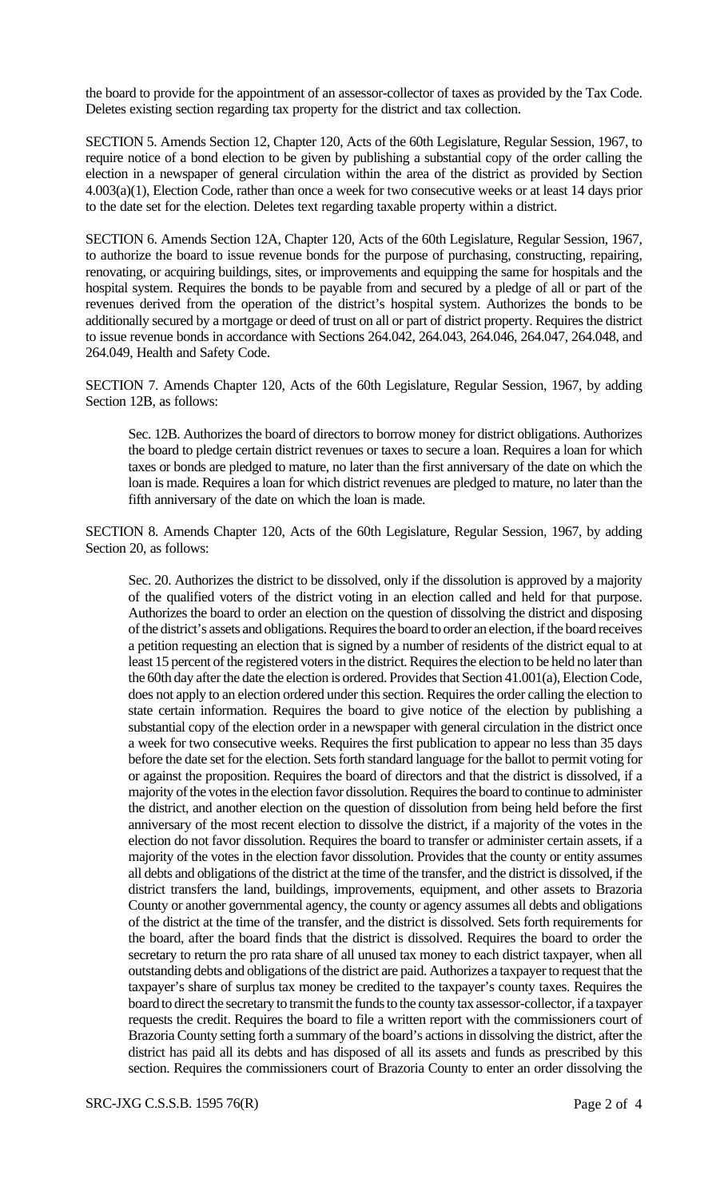the board to provide for the appointment of an assessor-collector of taxes as provided by the Tax Code. Deletes existing section regarding tax property for the district and tax collection.

SECTION 5. Amends Section 12, Chapter 120, Acts of the 60th Legislature, Regular Session, 1967, to require notice of a bond election to be given by publishing a substantial copy of the order calling the election in a newspaper of general circulation within the area of the district as provided by Section 4.003(a)(1), Election Code, rather than once a week for two consecutive weeks or at least 14 days prior to the date set for the election. Deletes text regarding taxable property within a district.

SECTION 6. Amends Section 12A, Chapter 120, Acts of the 60th Legislature, Regular Session, 1967, to authorize the board to issue revenue bonds for the purpose of purchasing, constructing, repairing, renovating, or acquiring buildings, sites, or improvements and equipping the same for hospitals and the hospital system. Requires the bonds to be payable from and secured by a pledge of all or part of the revenues derived from the operation of the district's hospital system. Authorizes the bonds to be additionally secured by a mortgage or deed of trust on all or part of district property. Requires the district to issue revenue bonds in accordance with Sections 264.042, 264.043, 264.046, 264.047, 264.048, and 264.049, Health and Safety Code.

SECTION 7. Amends Chapter 120, Acts of the 60th Legislature, Regular Session, 1967, by adding Section 12B, as follows:

Sec. 12B. Authorizes the board of directors to borrow money for district obligations. Authorizes the board to pledge certain district revenues or taxes to secure a loan. Requires a loan for which taxes or bonds are pledged to mature, no later than the first anniversary of the date on which the loan is made. Requires a loan for which district revenues are pledged to mature, no later than the fifth anniversary of the date on which the loan is made.

SECTION 8. Amends Chapter 120, Acts of the 60th Legislature, Regular Session, 1967, by adding Section 20, as follows:

Sec. 20. Authorizes the district to be dissolved, only if the dissolution is approved by a majority of the qualified voters of the district voting in an election called and held for that purpose. Authorizes the board to order an election on the question of dissolving the district and disposing of the district's assets and obligations. Requires the board to order an election, if the board receives a petition requesting an election that is signed by a number of residents of the district equal to at least 15 percent of the registered voters in the district. Requires the election to be held no later than the 60th day after the date the election is ordered. Provides that Section 41.001(a), Election Code, does not apply to an election ordered under this section. Requires the order calling the election to state certain information. Requires the board to give notice of the election by publishing a substantial copy of the election order in a newspaper with general circulation in the district once a week for two consecutive weeks. Requires the first publication to appear no less than 35 days before the date set for the election. Sets forth standard language for the ballot to permit voting for or against the proposition. Requires the board of directors and that the district is dissolved, if a majority of the votes in the election favor dissolution. Requires the board to continue to administer the district, and another election on the question of dissolution from being held before the first anniversary of the most recent election to dissolve the district, if a majority of the votes in the election do not favor dissolution. Requires the board to transfer or administer certain assets, if a majority of the votes in the election favor dissolution. Provides that the county or entity assumes all debts and obligations of the district at the time of the transfer, and the district is dissolved, if the district transfers the land, buildings, improvements, equipment, and other assets to Brazoria County or another governmental agency, the county or agency assumes all debts and obligations of the district at the time of the transfer, and the district is dissolved. Sets forth requirements for the board, after the board finds that the district is dissolved. Requires the board to order the secretary to return the pro rata share of all unused tax money to each district taxpayer, when all outstanding debts and obligations of the district are paid. Authorizes a taxpayer to request that the taxpayer's share of surplus tax money be credited to the taxpayer's county taxes. Requires the board to direct the secretary to transmit the funds to the county tax assessor-collector, if a taxpayer requests the credit. Requires the board to file a written report with the commissioners court of Brazoria County setting forth a summary of the board's actions in dissolving the district, after the district has paid all its debts and has disposed of all its assets and funds as prescribed by this section. Requires the commissioners court of Brazoria County to enter an order dissolving the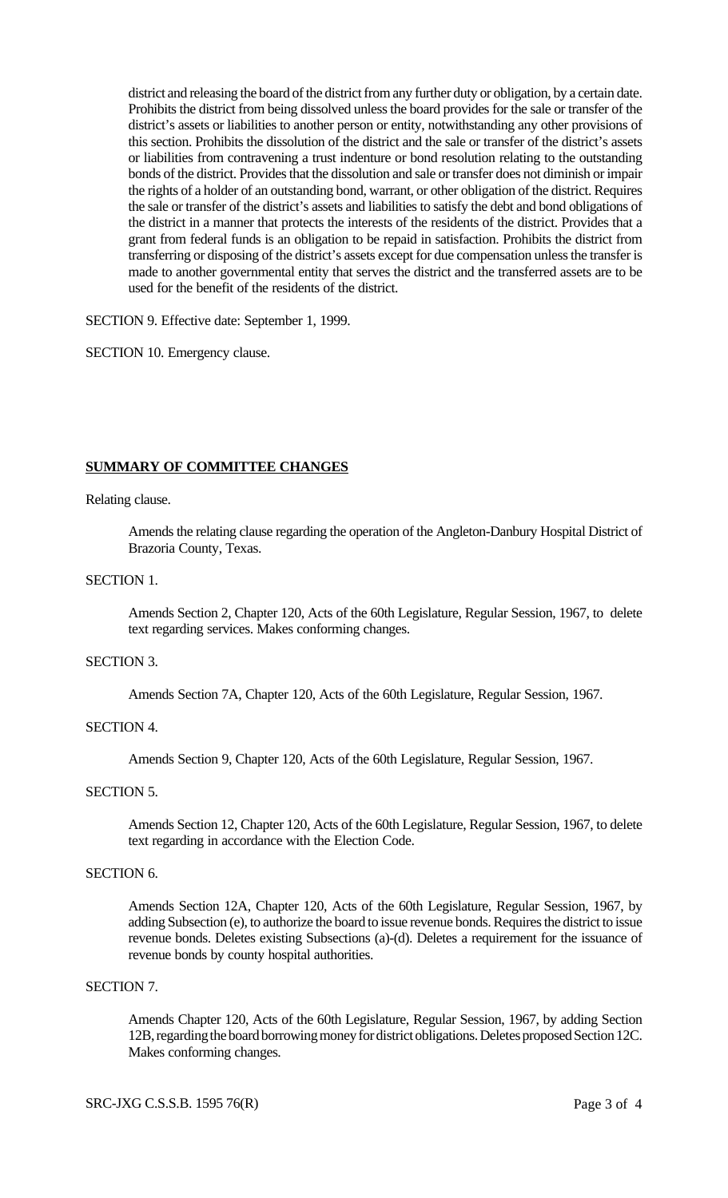district and releasing the board of the district from any further duty or obligation, by a certain date. Prohibits the district from being dissolved unless the board provides for the sale or transfer of the district's assets or liabilities to another person or entity, notwithstanding any other provisions of this section. Prohibits the dissolution of the district and the sale or transfer of the district's assets or liabilities from contravening a trust indenture or bond resolution relating to the outstanding bonds of the district. Provides that the dissolution and sale or transfer does not diminish or impair the rights of a holder of an outstanding bond, warrant, or other obligation of the district. Requires the sale or transfer of the district's assets and liabilities to satisfy the debt and bond obligations of the district in a manner that protects the interests of the residents of the district. Provides that a grant from federal funds is an obligation to be repaid in satisfaction. Prohibits the district from transferring or disposing of the district's assets except for due compensation unless the transfer is made to another governmental entity that serves the district and the transferred assets are to be used for the benefit of the residents of the district.

SECTION 9. Effective date: September 1, 1999.

SECTION 10. Emergency clause.

### **SUMMARY OF COMMITTEE CHANGES**

#### Relating clause.

Amends the relating clause regarding the operation of the Angleton-Danbury Hospital District of Brazoria County, Texas.

### SECTION 1.

Amends Section 2, Chapter 120, Acts of the 60th Legislature, Regular Session, 1967, to delete text regarding services. Makes conforming changes.

#### SECTION 3.

Amends Section 7A, Chapter 120, Acts of the 60th Legislature, Regular Session, 1967.

#### SECTION 4.

Amends Section 9, Chapter 120, Acts of the 60th Legislature, Regular Session, 1967.

#### SECTION 5.

Amends Section 12, Chapter 120, Acts of the 60th Legislature, Regular Session, 1967, to delete text regarding in accordance with the Election Code.

### SECTION 6.

Amends Section 12A, Chapter 120, Acts of the 60th Legislature, Regular Session, 1967, by adding Subsection (e), to authorize the board to issue revenue bonds. Requires the district to issue revenue bonds. Deletes existing Subsections (a)-(d). Deletes a requirement for the issuance of revenue bonds by county hospital authorities.

### SECTION 7.

Amends Chapter 120, Acts of the 60th Legislature, Regular Session, 1967, by adding Section 12B, regarding the board borrowing money for district obligations. Deletes proposed Section 12C. Makes conforming changes.